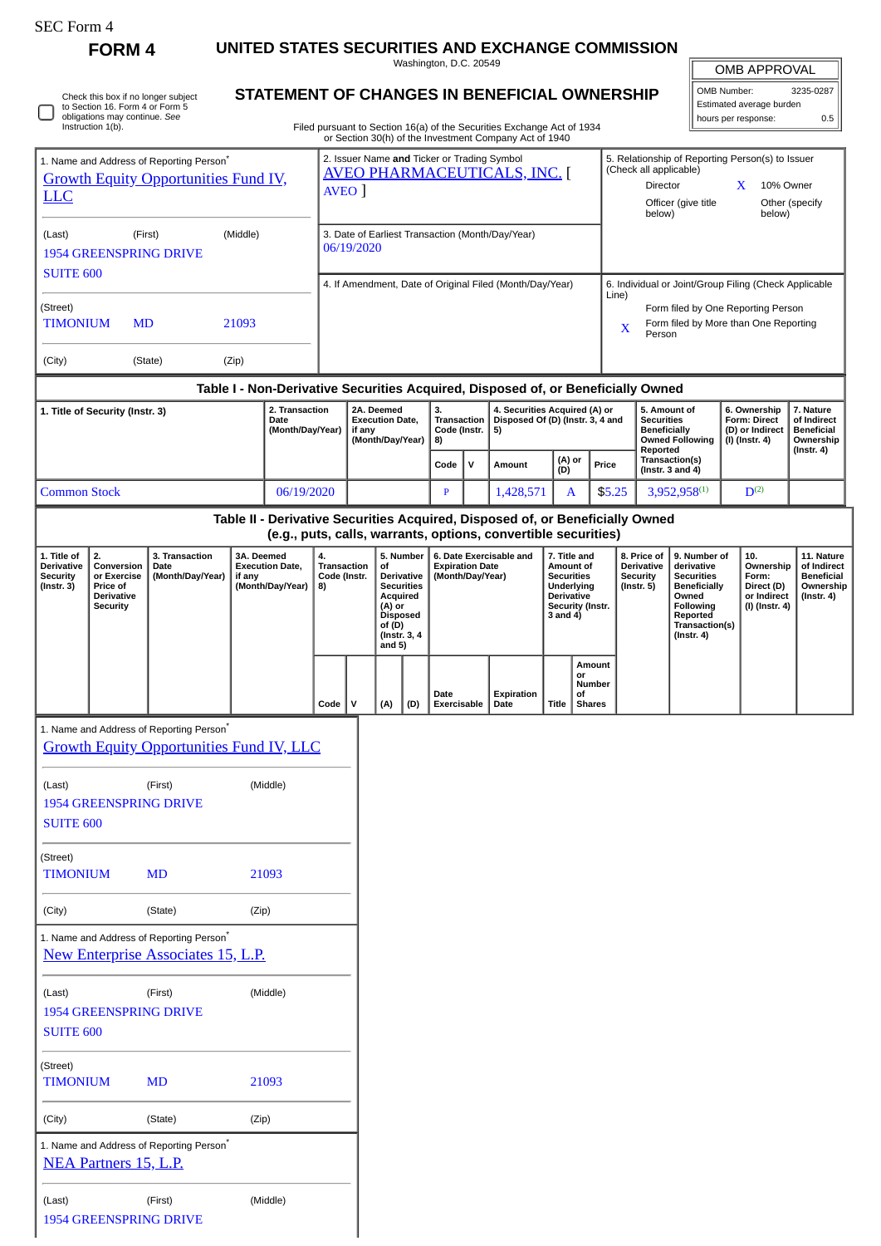| <b>SEC Form 4</b>                                                                  | <b>FORM 4</b>                                                                 |                                                                                                   |                                                                            |                                                          |                                                                                    |                                                                    |                                                                                                                       |                                                |                                            |                     |           |                                                                                                                                                 |       |                                                                                                     |                                                                            |                                                                                                                                |                                                                     |                                                            |                                                                   |            |
|------------------------------------------------------------------------------------|-------------------------------------------------------------------------------|---------------------------------------------------------------------------------------------------|----------------------------------------------------------------------------|----------------------------------------------------------|------------------------------------------------------------------------------------|--------------------------------------------------------------------|-----------------------------------------------------------------------------------------------------------------------|------------------------------------------------|--------------------------------------------|---------------------|-----------|-------------------------------------------------------------------------------------------------------------------------------------------------|-------|-----------------------------------------------------------------------------------------------------|----------------------------------------------------------------------------|--------------------------------------------------------------------------------------------------------------------------------|---------------------------------------------------------------------|------------------------------------------------------------|-------------------------------------------------------------------|------------|
|                                                                                    |                                                                               |                                                                                                   | UNITED STATES SECURITIES AND EXCHANGE COMMISSION<br>Washington, D.C. 20549 |                                                          |                                                                                    |                                                                    |                                                                                                                       |                                                |                                            |                     |           |                                                                                                                                                 |       |                                                                                                     |                                                                            |                                                                                                                                |                                                                     |                                                            | <b>OMB APPROVAL</b>                                               |            |
| Check this box if no longer subject<br>to Section 16. Form 4 or Form 5             |                                                                               |                                                                                                   |                                                                            |                                                          |                                                                                    | STATEMENT OF CHANGES IN BENEFICIAL OWNERSHIP                       |                                                                                                                       |                                                |                                            |                     |           |                                                                                                                                                 |       |                                                                                                     |                                                                            |                                                                                                                                | OMB Number:<br>3235-0287<br>Estimated average burden                |                                                            |                                                                   |            |
|                                                                                    | obligations may continue. See<br>Instruction 1(b).                            |                                                                                                   |                                                                            |                                                          |                                                                                    |                                                                    |                                                                                                                       |                                                |                                            |                     |           | Filed pursuant to Section 16(a) of the Securities Exchange Act of 1934<br>or Section 30(h) of the Investment Company Act of 1940                |       |                                                                                                     |                                                                            |                                                                                                                                |                                                                     |                                                            | hours per response:                                               | 0.5        |
| 1. Name and Address of Reporting Person <sup>*</sup>                               |                                                                               |                                                                                                   |                                                                            |                                                          | 2. Issuer Name and Ticker or Trading Symbol<br><b>AVEO PHARMACEUTICALS, INC. [</b> |                                                                    |                                                                                                                       |                                                |                                            |                     |           |                                                                                                                                                 |       |                                                                                                     | 5. Relationship of Reporting Person(s) to Issuer<br>(Check all applicable) |                                                                                                                                |                                                                     |                                                            |                                                                   |            |
| <b>Growth Equity Opportunities Fund IV,</b><br><b>LLC</b>                          |                                                                               |                                                                                                   |                                                                            |                                                          | AVEO ]                                                                             |                                                                    |                                                                                                                       |                                                |                                            |                     |           |                                                                                                                                                 |       | Director<br>10% Owner<br>X<br>Officer (give title<br>Other (specify                                 |                                                                            |                                                                                                                                |                                                                     |                                                            |                                                                   |            |
|                                                                                    |                                                                               |                                                                                                   |                                                                            |                                                          |                                                                                    |                                                                    |                                                                                                                       |                                                |                                            |                     |           |                                                                                                                                                 |       | below)                                                                                              |                                                                            |                                                                                                                                | below)                                                              |                                                            |                                                                   |            |
| (Last)<br>(First)<br>(Middle)<br><b>1954 GREENSPRING DRIVE</b>                     |                                                                               |                                                                                                   |                                                                            |                                                          | 3. Date of Earliest Transaction (Month/Day/Year)<br>06/19/2020                     |                                                                    |                                                                                                                       |                                                |                                            |                     |           |                                                                                                                                                 |       |                                                                                                     |                                                                            |                                                                                                                                |                                                                     |                                                            |                                                                   |            |
| <b>SUITE 600</b>                                                                   |                                                                               |                                                                                                   |                                                                            | 4. If Amendment, Date of Original Filed (Month/Day/Year) |                                                                                    |                                                                    |                                                                                                                       |                                                |                                            |                     |           |                                                                                                                                                 |       | 6. Individual or Joint/Group Filing (Check Applicable                                               |                                                                            |                                                                                                                                |                                                                     |                                                            |                                                                   |            |
| (Street)<br><b>TIMONIUM</b><br>MD<br>21093                                         |                                                                               |                                                                                                   |                                                                            |                                                          |                                                                                    |                                                                    |                                                                                                                       |                                                |                                            |                     |           |                                                                                                                                                 |       | Line)<br>Form filed by One Reporting Person<br>Form filed by More than One Reporting<br>X<br>Person |                                                                            |                                                                                                                                |                                                                     |                                                            |                                                                   |            |
| (City)<br>(State)<br>(Zip)                                                         |                                                                               |                                                                                                   |                                                                            |                                                          |                                                                                    |                                                                    |                                                                                                                       |                                                |                                            |                     |           |                                                                                                                                                 |       |                                                                                                     |                                                                            |                                                                                                                                |                                                                     |                                                            |                                                                   |            |
|                                                                                    |                                                                               |                                                                                                   |                                                                            |                                                          |                                                                                    |                                                                    |                                                                                                                       |                                                |                                            |                     |           | Table I - Non-Derivative Securities Acquired, Disposed of, or Beneficially Owned                                                                |       |                                                                                                     |                                                                            |                                                                                                                                |                                                                     |                                                            |                                                                   |            |
| 1. Title of Security (Instr. 3)<br>2. Transaction<br>Date<br>(Month/Day/Year)      |                                                                               |                                                                                                   |                                                                            |                                                          |                                                                                    | 2A. Deemed<br><b>Execution Date,</b><br>if any<br>(Month/Day/Year) |                                                                                                                       | 3.<br><b>Transaction</b><br>Code (Instr.<br>8) |                                            | 5)                  |           | 4. Securities Acquired (A) or<br>Disposed Of (D) (Instr. 3, 4 and                                                                               |       | 5. Amount of<br><b>Securities</b><br><b>Beneficially</b><br><b>Owned Following</b>                  |                                                                            |                                                                                                                                | 6. Ownership<br>Form: Direct<br>(D) or Indirect<br>$(I)$ (Instr. 4) | 7. Nature<br>of Indirect<br><b>Beneficial</b><br>Ownership |                                                                   |            |
|                                                                                    |                                                                               |                                                                                                   |                                                                            |                                                          |                                                                                    |                                                                    |                                                                                                                       | Code                                           | $\mathbf{v}$                               | Amount              | (D)       | (A) or                                                                                                                                          | Price | Reported                                                                                            | Transaction(s)<br>(Instr. $3$ and $4$ )                                    |                                                                                                                                |                                                                     | $($ Instr. 4 $)$                                           |                                                                   |            |
| <b>Common Stock</b>                                                                |                                                                               |                                                                                                   | 06/19/2020                                                                 |                                                          |                                                                                    |                                                                    |                                                                                                                       |                                                | P                                          |                     | 1,428,571 |                                                                                                                                                 | A     | \$5.25                                                                                              |                                                                            | 3,952,958(1)                                                                                                                   |                                                                     | $D^{(2)}$                                                  |                                                                   |            |
|                                                                                    |                                                                               |                                                                                                   |                                                                            |                                                          |                                                                                    |                                                                    |                                                                                                                       |                                                |                                            |                     |           | Table II - Derivative Securities Acquired, Disposed of, or Beneficially Owned<br>(e.g., puts, calls, warrants, options, convertible securities) |       |                                                                                                     |                                                                            |                                                                                                                                |                                                                     |                                                            |                                                                   |            |
| 1. Title of                                                                        | 2.                                                                            | 3. Transaction                                                                                    | 3A. Deemed                                                                 |                                                          | 4.                                                                                 |                                                                    |                                                                                                                       |                                                | 5. Number                                  |                     |           | 6. Date Exercisable and                                                                                                                         |       | 7. Title and                                                                                        |                                                                            | 8. Price of                                                                                                                    | 9. Number of                                                        |                                                            | 10.                                                               | 11. Nature |
| <b>Derivative</b><br><b>Security</b><br>$($ Instr. 3 $)$                           | Conversion<br>or Exercise<br>Price of<br><b>Derivative</b><br><b>Security</b> | Date<br>(Month/Day/Year)                                                                          | <b>Execution Date,</b><br>if any<br>(Month/Day/Year)                       |                                                          | <b>Transaction</b><br>Code (Instr.<br>8)                                           |                                                                    | of<br>Derivative<br><b>Securities</b><br>Acquired<br>(A) or<br><b>Disposed</b><br>of (D)<br>(Instr. 3, 4)<br>and $5)$ |                                                | <b>Expiration Date</b><br>(Month/Day/Year) |                     |           | Amount of<br><b>Securities</b><br>Underlying<br><b>Derivative</b><br>Security (Instr.<br>3 and 4)                                               |       |                                                                                                     | Derivative<br>Security<br>$($ Instr. 5 $)$                                 | derivative<br><b>Securities</b><br><b>Beneficially</b><br>Owned<br>Following<br>Reported<br>Transaction(s)<br>$($ Instr. 4 $)$ | Form:                                                               | Ownership<br>Direct (D)<br>or Indirect<br>(I) (Instr. 4)   | of Indirect<br><b>Beneficial</b><br>Ownership<br>$($ Instr. 4 $)$ |            |
|                                                                                    |                                                                               |                                                                                                   |                                                                            |                                                          | Code                                                                               | $\mathsf{v}$                                                       |                                                                                                                       | (A)                                            | (D)                                        | Date<br>Exercisable |           | Expiration<br>Date                                                                                                                              | Title | or<br>of                                                                                            | Amount<br>Number<br><b>Shares</b>                                          |                                                                                                                                |                                                                     |                                                            |                                                                   |            |
|                                                                                    |                                                                               | 1. Name and Address of Reporting Person <sup>*</sup>                                              |                                                                            |                                                          |                                                                                    |                                                                    |                                                                                                                       |                                                |                                            |                     |           |                                                                                                                                                 |       |                                                                                                     |                                                                            |                                                                                                                                |                                                                     |                                                            |                                                                   |            |
|                                                                                    |                                                                               | <b>Growth Equity Opportunities Fund IV, LLC</b>                                                   |                                                                            |                                                          |                                                                                    |                                                                    |                                                                                                                       |                                                |                                            |                     |           |                                                                                                                                                 |       |                                                                                                     |                                                                            |                                                                                                                                |                                                                     |                                                            |                                                                   |            |
| (Middle)<br>(Last)<br>(First)<br><b>1954 GREENSPRING DRIVE</b><br><b>SUITE 600</b> |                                                                               |                                                                                                   |                                                                            |                                                          |                                                                                    |                                                                    |                                                                                                                       |                                                |                                            |                     |           |                                                                                                                                                 |       |                                                                                                     |                                                                            |                                                                                                                                |                                                                     |                                                            |                                                                   |            |
| (Street)<br>21093<br><b>TIMONIUM</b><br><b>MD</b>                                  |                                                                               |                                                                                                   |                                                                            |                                                          |                                                                                    |                                                                    |                                                                                                                       |                                                |                                            |                     |           |                                                                                                                                                 |       |                                                                                                     |                                                                            |                                                                                                                                |                                                                     |                                                            |                                                                   |            |
| (City)                                                                             |                                                                               | (State)                                                                                           | (Zip)                                                                      |                                                          |                                                                                    |                                                                    |                                                                                                                       |                                                |                                            |                     |           |                                                                                                                                                 |       |                                                                                                     |                                                                            |                                                                                                                                |                                                                     |                                                            |                                                                   |            |
|                                                                                    |                                                                               | 1. Name and Address of Reporting Person <sup>*</sup><br><b>New Enterprise Associates 15, L.P.</b> |                                                                            |                                                          |                                                                                    |                                                                    |                                                                                                                       |                                                |                                            |                     |           |                                                                                                                                                 |       |                                                                                                     |                                                                            |                                                                                                                                |                                                                     |                                                            |                                                                   |            |
| (Last)<br><b>SUITE 600</b>                                                         | <b>1954 GREENSPRING DRIVE</b>                                                 | (First)                                                                                           |                                                                            | (Middle)                                                 |                                                                                    |                                                                    |                                                                                                                       |                                                |                                            |                     |           |                                                                                                                                                 |       |                                                                                                     |                                                                            |                                                                                                                                |                                                                     |                                                            |                                                                   |            |
| (Street)<br><b>TIMONIUM</b><br><b>MD</b>                                           |                                                                               |                                                                                                   |                                                                            | 21093                                                    |                                                                                    |                                                                    |                                                                                                                       |                                                |                                            |                     |           |                                                                                                                                                 |       |                                                                                                     |                                                                            |                                                                                                                                |                                                                     |                                                            |                                                                   |            |
| (City)<br>(State)<br>(Zip)                                                         |                                                                               |                                                                                                   |                                                                            |                                                          |                                                                                    |                                                                    |                                                                                                                       |                                                |                                            |                     |           |                                                                                                                                                 |       |                                                                                                     |                                                                            |                                                                                                                                |                                                                     |                                                            |                                                                   |            |
|                                                                                    | <b>NEA Partners 15, L.P.</b>                                                  | 1. Name and Address of Reporting Person <sup>*</sup>                                              |                                                                            |                                                          |                                                                                    |                                                                    |                                                                                                                       |                                                |                                            |                     |           |                                                                                                                                                 |       |                                                                                                     |                                                                            |                                                                                                                                |                                                                     |                                                            |                                                                   |            |

| (Last)                        | (First) | (Middle) |
|-------------------------------|---------|----------|
| <b>1954 GREENSPRING DRIVE</b> |         |          |